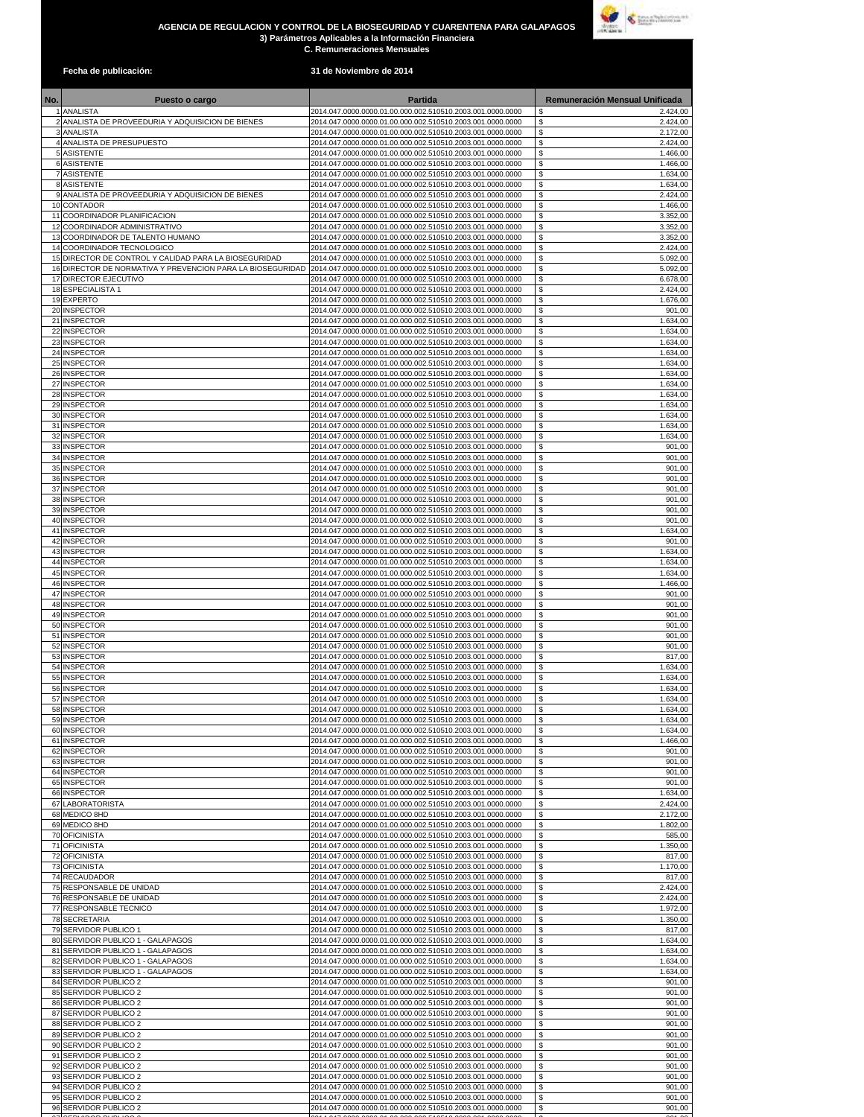## **AGENCIA DE REGULACIÓN Y CONTROL DE LA BIOSEGURIDAD Y CUARENTENA PARA GALAPAGOS 3) Parámetros Aplicables a la Información Financiera C. Remuneraciones Mensuales**



| Fecha de publicación:                                           | 31 de Noviembre de 2014                                                                                                  |                                              |
|-----------------------------------------------------------------|--------------------------------------------------------------------------------------------------------------------------|----------------------------------------------|
| Puesto o cargo                                                  | <b>Partida</b>                                                                                                           | <b>Remuneración Mensual Unificada</b>        |
| 1 ANALISTA                                                      | 2014.047.0000.0000.01.00.000.002.510510.2003.001.0000.0000                                                               | \$<br>2.424,00                               |
| 2 ANALISTA DE PROVEEDURIA Y ADQUISICION DE BIENES<br>3 ANALISTA | 2014.047.0000.0000.01.00.000.002.510510.2003.001.0000.0000<br>2014.047.0000.0000.01.00.000.002.510510.2003.001.0000.0000 | \$<br>2.424,00<br>\$<br>2.172,00             |
| 4 ANALISTA DE PRESUPUESTO                                       | 2014.047.0000.0000.01.00.000.002.510510.2003.001.0000.0000                                                               | \$<br>2.424,00                               |
| 5 ASISTENTE                                                     | 2014.047.0000.0000.01.00.000.002.510510.2003.001.0000.0000                                                               | \$<br>1.466,00                               |
| 6 ASISTENTE                                                     | 2014.047.0000.0000.01.00.000.002.510510.2003.001.0000.0000                                                               | \$<br>1.466,00                               |
| 7 ASISTENTE<br>8 ASISTENTE                                      | 2014.047.0000.0000.01.00.000.002.510510.2003.001.0000.0000<br>2014.047.0000.0000.01.00.000.002.510510.2003.001.0000.0000 | \$<br>1.634,00<br>\$<br>1.634,00             |
| 9 ANALISTA DE PROVEEDURIA Y ADQUISICION DE BIENES               | 2014.047.0000.0000.01.00.000.002.510510.2003.001.0000.0000                                                               | \$<br>2.424,00                               |
| 10 CONTADOR                                                     | 2014.047.0000.0000.01.00.000.002.510510.2003.001.0000.0000                                                               | \$<br>1.466,00                               |
| 11 COORDINADOR PLANIFICACION<br>12 COORDINADOR ADMINISTRATIVO   | 2014.047.0000.0000.01.00.000.002.510510.2003.001.0000.0000<br>2014.047.0000.0000.01.00.000.002.510510.2003.001.0000.0000 | 3.352,00<br>\$<br>\$<br>3.352,00             |
| 13 COORDINADOR DE TALENTO HUMANO                                | 2014.047.0000.0000.01.00.000.002.510510.2003.001.0000.0000                                                               | \$<br>3.352,00                               |
| 14 COORDINADOR TECNOLOGICO                                      | 2014.047.0000.0000.01.00.000.002.510510.2003.001.0000.0000                                                               | \$<br>2.424,00                               |
| 15 DIRECTOR DE CONTROL Y CALIDAD PARA LA BIOSEGURIDAD           | 2014.047.0000.0000.01.00.000.002.510510.2003.001.0000.0000                                                               | \$<br>5.092,00                               |
| 16 DIRECTOR DE NORMATIVA Y PREVENCION PARA LA BIOSEGURIDAD      | 2014.047.0000.0000.01.00.000.002.510510.2003.001.0000.0000                                                               | \$<br>5.092,00<br>\$                         |
| 17 DIRECTOR EJECUTIVO<br>18 ESPECIALISTA 1                      | 2014.047.0000.0000.01.00.000.002.510510.2003.001.0000.0000<br>2014.047.0000.0000.01.00.000.002.510510.2003.001.0000.0000 | 6.678,00<br>\$<br>2.424,00                   |
| 19 EXPERTO                                                      | 2014.047.0000.0000.01.00.000.002.510510.2003.001.0000.0000                                                               | \$<br>1.676,00                               |
| 20 INSPECTOR                                                    | 2014.047.0000.0000.01.00.000.002.510510.2003.001.0000.0000                                                               | \$<br>901,00                                 |
| 21 INSPECTOR                                                    | 2014.047.0000.0000.01.00.000.002.510510.2003.001.0000.0000                                                               | $$\mathbb{S}$$<br>1.634,00                   |
| 22 INSPECTOR<br>23 INSPECTOR                                    | 2014.047.0000.0000.01.00.000.002.510510.2003.001.0000.0000<br>2014.047.0000.0000.01.00.000.002.510510.2003.001.0000.0000 | \$<br>1.634,00<br>\$<br>1.634,00             |
| 24 INSPECTOR                                                    | 2014.047.0000.0000.01.00.000.002.510510.2003.001.0000.0000                                                               | \$<br>1.634,00                               |
| 25 INSPECTOR                                                    | 2014.047.0000.0000.01.00.000.002.510510.2003.001.0000.0000                                                               | $\mathsf{\$}$<br>1.634,00                    |
| 26 INSPECTOR                                                    | 2014.047.0000.0000.01.00.000.002.510510.2003.001.0000.0000                                                               | \$<br>1.634,00                               |
| 27 INSPECTOR                                                    | 2014.047.0000.0000.01.00.000.002.510510.2003.001.0000.0000                                                               | \$<br>1.634,00                               |
| 28 INSPECTOR<br>29 INSPECTOR                                    | 2014.047.0000.0000.01.00.000.002.510510.2003.001.0000.0000<br>2014.047.0000.0000.01.00.000.002.510510.2003.001.0000.0000 | \$<br>1.634,00<br>\$<br>1.634,00             |
| 30 INSPECTOR                                                    | 2014.047.0000.0000.01.00.000.002.510510.2003.001.0000.0000                                                               | \$<br>1.634,00                               |
| 31 INSPECTOR                                                    | 2014.047.0000.0000.01.00.000.002.510510.2003.001.0000.0000                                                               | \$<br>1.634,00                               |
| 32 INSPECTOR                                                    | 2014.047.0000.0000.01.00.000.002.510510.2003.001.0000.0000                                                               | \$<br>1.634,00                               |
| 33 INSPECTOR                                                    | 2014.047.0000.0000.01.00.000.002.510510.2003.001.0000.0000                                                               | \$<br>901,00                                 |
| 34 INSPECTOR<br>35 INSPECTOR                                    | 2014.047.0000.0000.01.00.000.002.510510.2003.001.0000.0000<br>2014.047.0000.0000.01.00.000.002.510510.2003.001.0000.0000 | \$<br>901,00<br>\$<br>901,00                 |
| 36 INSPECTOR                                                    | 2014.047.0000.0000.01.00.000.002.510510.2003.001.0000.0000                                                               | 901,00<br>\$                                 |
| 37 INSPECTOR                                                    | 2014.047.0000.0000.01.00.000.002.510510.2003.001.0000.0000                                                               | \$<br>901,00                                 |
| 38 INSPECTOR                                                    | 2014.047.0000.0000.01.00.000.002.510510.2003.001.0000.0000                                                               | \$<br>901,00                                 |
| 39 INSPECTOR                                                    | 2014.047.0000.0000.01.00.000.002.510510.2003.001.0000.0000                                                               | \$<br>901,00                                 |
| 40 INSPECTOR<br>41 INSPECTOR                                    | 2014.047.0000.0000.01.00.000.002.510510.2003.001.0000.0000<br>2014.047.0000.0000.01.00.000.002.510510.2003.001.0000.0000 | \$<br>901,00<br>\$<br>1.634,00               |
| 42 INSPECTOR                                                    | 2014.047.0000.0000.01.00.000.002.510510.2003.001.0000.0000                                                               | \$<br>901,00                                 |
| 43 INSPECTOR                                                    | 2014.047.0000.0000.01.00.000.002.510510.2003.001.0000.0000                                                               | \$<br>1.634,00                               |
| 44 INSPECTOR                                                    | 2014.047.0000.0000.01.00.000.002.510510.2003.001.0000.0000                                                               | \$<br>1.634,00                               |
| 45 INSPECTOR<br>46 INSPECTOR                                    | 2014.047.0000.0000.01.00.000.002.510510.2003.001.0000.0000<br>2014.047.0000.0000.01.00.000.002.510510.2003.001.0000.0000 | \$<br>1.634,00<br>$$\mathbb{S}$$<br>1.466,00 |
| 47 INSPECTOR                                                    | 2014.047.0000.0000.01.00.000.002.510510.2003.001.0000.0000                                                               | \$<br>901,00                                 |
| 48 INSPECTOR                                                    | 2014.047.0000.0000.01.00.000.002.510510.2003.001.0000.0000                                                               | $$\mathbb{S}$$<br>901,00                     |
| 49 INSPECTOR                                                    | 2014.047.0000.0000.01.00.000.002.510510.2003.001.0000.0000                                                               | \$<br>901,00                                 |
| 50 INSPECTOR<br>51 INSPECTOR                                    | 2014.047.0000.0000.01.00.000.002.510510.2003.001.0000.0000<br>2014.047.0000.0000.01.00.000.002.510510.2003.001.0000.0000 | $$\mathbb{S}$$<br>901,00<br>\$               |
| 52 INSPECTOR                                                    | 2014.047.0000.0000.01.00.000.002.510510.2003.001.0000.0000                                                               | 901,00<br>\$<br>901,00                       |
| 53 INSPECTOR                                                    | 2014.047.0000.0000.01.00.000.002.510510.2003.001.0000.0000                                                               | \$<br>817,00                                 |
| 54 INSPECTOR                                                    | 2014.047.0000.0000.01.00.000.002.510510.2003.001.0000.0000                                                               | \$<br>1.634,00                               |
| 55 INSPECTOR                                                    | 2014.047.0000.0000.01.00.000.002.510510.2003.001.0000.0000                                                               | \$<br>1.634,00                               |
| 56 INSPECTOR<br>57 INSPECTOR                                    | 2014.047.0000.0000.01.00.000.002.510510.2003.001.0000.0000<br>2014.047.0000.0000.01.00.000.002.510510.2003.001.0000.0000 | \$<br>1.634,00<br>1.634,00                   |
| 58 INSPECTOR                                                    | 2014.047.0000.0000.01.00.000.002.510510.2003.001.0000.0000                                                               | \$<br>\$<br>1.634,00                         |
| 59 INSPECTOR                                                    | 2014.047.0000.0000.01.00.000.002.510510.2003.001.0000.0000                                                               | \$<br>1.634,00                               |
| 60 INSPECTOR                                                    | 2014.047.0000.0000.01.00.000.002.510510.2003.001.0000.0000                                                               | \$<br>1.634,00                               |
| 61 INSPECTOR                                                    | 2014.047.0000.0000.01.00.000.002.510510.2003.001.0000.0000                                                               | \$<br>1.466,00                               |
| 62 INSPECTOR<br>63 INSPECTOR                                    | 2014.047.0000.0000.01.00.000.002.510510.2003.001.0000.0000<br>2014.047.0000.0000.01.00.000.002.510510.2003.001.0000.0000 | \$<br>901,00<br>\$<br>901,00                 |
| 64 INSPECTOR                                                    | 2014.047.0000.0000.01.00.000.002.510510.2003.001.0000.0000                                                               | \$<br>901,00                                 |
| 65 INSPECTOR                                                    | 2014.047.0000.0000.01.00.000.002.510510.2003.001.0000.0000                                                               | \$<br>901,00                                 |
| 66 INSPECTOR                                                    | 2014.047.0000.0000.01.00.000.002.510510.2003.001.0000.0000                                                               | \$<br>1.634,00                               |
| 67 LABORATORISTA<br>68 MEDICO 8HD                               | 2014.047.0000.0000.01.00.000.002.510510.2003.001.0000.0000<br>2014.047.0000.0000.01.00.000.002.510510.2003.001.0000.0000 | \$<br>2.424,00<br>\$<br>2.172,00             |
| 69 MEDICO 8HD                                                   | 2014.047.0000.0000.01.00.000.002.510510.2003.001.0000.0000                                                               | \$<br>1.802,00                               |
| 70 OFICINISTA                                                   | 2014.047.0000.0000.01.00.000.002.510510.2003.001.0000.0000                                                               | \$<br>585,00                                 |
| 71 OFICINISTA                                                   | 2014.047.0000.0000.01.00.000.002.510510.2003.001.0000.0000                                                               | \$<br>1.350,00                               |
| 72 OFICINISTA<br>73 OFICINISTA                                  | 2014.047.0000.0000.01.00.000.002.510510.2003.001.0000.0000<br>2014.047.0000.0000.01.00.000.002.510510.2003.001.0000.0000 | \$<br>817,00<br>\$<br>1.170,00               |
| 74 RECAUDADOR                                                   | 2014.047.0000.0000.01.00.000.002.510510.2003.001.0000.0000                                                               | \$<br>817,00                                 |
| 75 RESPONSABLE DE UNIDAD                                        | 2014.047.0000.0000.01.00.000.002.510510.2003.001.0000.0000                                                               | \$<br>2.424,00                               |
| 76 RESPONSABLE DE UNIDAD                                        | 2014.047.0000.0000.01.00.000.002.510510.2003.001.0000.0000                                                               | \$<br>2.424,00                               |
| 77 RESPONSABLE TECNICO                                          | 2014.047.0000.0000.01.00.000.002.510510.2003.001.0000.0000                                                               | \$<br>1.972,00                               |
| 78 SECRETARIA<br>79 SERVIDOR PUBLICO 1                          | 2014.047.0000.0000.01.00.000.002.510510.2003.001.0000.0000<br>2014.047.0000.0000.01.00.000.002.510510.2003.001.0000.0000 | 1.350,00<br>\$<br>\$<br>817,00               |
| 80 SERVIDOR PUBLICO 1 - GALAPAGOS                               | 2014.047.0000.0000.01.00.000.002.510510.2003.001.0000.0000                                                               | \$<br>1.634,00                               |
| 81 SERVIDOR PUBLICO 1 - GALAPAGOS                               | 2014.047.0000.0000.01.00.000.002.510510.2003.001.0000.0000                                                               | \$<br>1.634,00                               |
| 82 SERVIDOR PUBLICO 1 - GALAPAGOS                               | 2014.047.0000.0000.01.00.000.002.510510.2003.001.0000.0000                                                               | \$<br>1.634,00                               |
| 83 SERVIDOR PUBLICO 1 - GALAPAGOS                               | 2014.047.0000.0000.01.00.000.002.510510.2003.001.0000.0000                                                               | \$<br>1.634,00                               |
| 84 SERVIDOR PUBLICO 2<br>85 SERVIDOR PUBLICO 2                  | 2014.047.0000.0000.01.00.000.002.510510.2003.001.0000.0000<br>2014.047.0000.0000.01.00.000.002.510510.2003.001.0000.0000 | \$<br>901,00<br>\$<br>901,00                 |
| 86 SERVIDOR PUBLICO 2                                           | 2014.047.0000.0000.01.00.000.002.510510.2003.001.0000.0000                                                               | \$<br>901,00                                 |
| 87 SERVIDOR PUBLICO 2                                           | 2014.047.0000.0000.01.00.000.002.510510.2003.001.0000.0000                                                               | \$<br>901,00                                 |
| 88 SERVIDOR PUBLICO 2                                           | 2014.047.0000.0000.01.00.000.002.510510.2003.001.0000.0000                                                               | \$<br>901,00                                 |
| 89 SERVIDOR PUBLICO 2                                           | 2014.047.0000.0000.01.00.000.002.510510.2003.001.0000.0000                                                               | \$<br>901,00                                 |
| 90 SERVIDOR PUBLICO 2<br>91 SERVIDOR PUBLICO 2                  | 2014.047.0000.0000.01.00.000.002.510510.2003.001.0000.0000<br>2014.047.0000.0000.01.00.000.002.510510.2003.001.0000.0000 | \$<br>901,00<br>\$<br>901,00                 |
| 92 SERVIDOR PUBLICO 2                                           | 2014.047.0000.0000.01.00.000.002.510510.2003.001.0000.0000                                                               | \$<br>901,00                                 |
| 93 SERVIDOR PUBLICO 2                                           | 2014.047.0000.0000.01.00.000.002.510510.2003.001.0000.0000                                                               | \$<br>901,00                                 |
| 94 SERVIDOR PUBLICO 2                                           | 2014.047.0000.0000.01.00.000.002.510510.2003.001.0000.0000                                                               | \$<br>901,00                                 |
| 95 SERVIDOR PUBLICO 2                                           | 2014.047.0000.0000.01.00.000.002.510510.2003.001.0000.0000                                                               | \$<br>901,00                                 |
| 96 SERVIDOR PUBLICO 2                                           | 2014.047.0000.0000.01.00.000.002.510510.2003.001.0000.0000                                                               | \$<br>901,00                                 |

SERVIDOR PUBLICO 2 2014.047.0000.0000.01.00.000.002.510510.2003.001.0000.0000 \$ 901,00